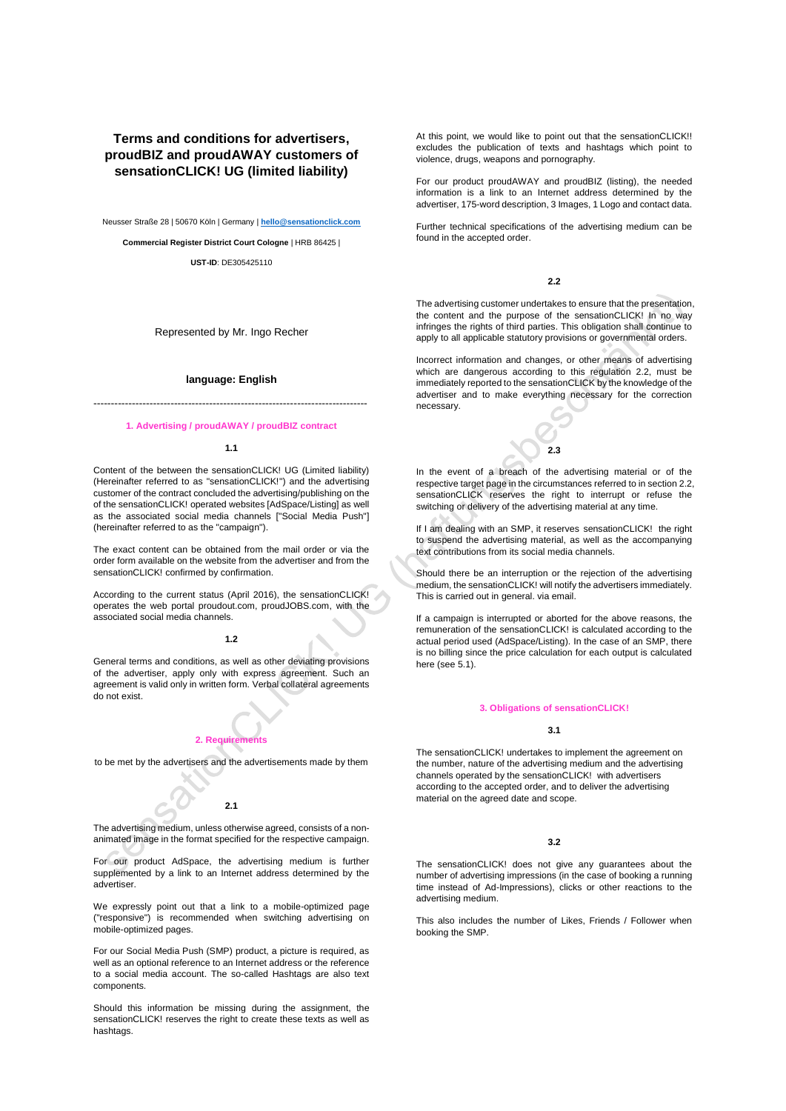# **Terms and conditions for advertisers, proudBIZ and proudAWAY customers of sensationCLICK! UG (limited liability)**

Neusser Straße 28 | 50670 Köln | Germany | **[hello@sensationclick.com](mailto:hello@sensationclick.com)**

**Commercial Register District Court Cologne** | HRB 86425 |

**UST-ID**: DE305425110

Represented by Mr. Ingo Recher

## **language: English**

------------------------------------------------------------------------------

## **1. Advertising / proudAWAY / proudBIZ contract**

### **1.1**

Content of the between the sensationCLICK! UG (Limited liability) (Hereinafter referred to as "sensationCLICK!") and the advertising customer of the contract concluded the advertising/publishing on the of the sensationCLICK! operated websites [AdSpace/Listing] as well as the associated social media channels ["Social Media Push"] (hereinafter referred to as the "campaign").

The exact content can be obtained from the mail order or via the order form available on the website from the advertiser and from the sensationCLICK! confirmed by confirmation.

According to the current status (April 2016), the sensationCLICK! operates the web portal proudout.com, proudJOBS.com, with the associated social media channels.

#### **1.2**

General terms and conditions, as well as other deviating provisions of the advertiser, apply only with express agreement. Such an agreement is valid only in written form. Verbal collateral agreements do not exist.

# **2. Requirements**

to be met by the advertisers and the advertisements made by them

**2.1**

The advertising medium, unless otherwise agreed, consists of a nonanimated image in the format specified for the respective campaign.

For our product AdSpace, the advertising medium is further supplemented by a link to an Internet address determined by the advertiser.

We expressly point out that a link to a mobile-optimized page ("responsive") is recommended when switching advertising on mobile-optimized pages.

For our Social Media Push (SMP) product, a picture is required, as well as an optional reference to an Internet address or the reference to a social media account. The so-called Hashtags are also text components.

Should this information be missing during the assignment, the sensationCLICK! reserves the right to create these texts as well as hashtags.

At this point, we would like to point out that the sensationCLICK!! excludes the publication of texts and hashtags which point to violence, drugs, weapons and pornography.

For our product proudAWAY and proudBIZ (listing), the needed information is a link to an Internet address determined by the advertiser, 175-word description, 3 Images, 1 Logo and contact data.

Further technical specifications of the advertising medium can be found in the accepted order.

## **2.2**

The advertising customer undertakes to ensure that the presentation, the content and the purpose of the sensationCLICK! In no way infringes the rights of third parties. This obligation shall continue to apply to all applicable statutory provisions or governmental orders.

Incorrect information and changes, or other means of advertising which are dangerous according to this regulation 2.2, must be immediately reported to the sensationCLICK by the knowledge of the advertiser and to make everything necessary for the correction necessary.

# **2.3**

In the event of a breach of the advertising material or of the respective target page in the circumstances referred to in section 2.2, sensationCLICK reserves the right to interrupt or refuse the switching or delivery of the advertising material at any time.

If I am dealing with an SMP, it reserves sensationCLICK! the right to suspend the advertising material, as well as the accompanying text contributions from its social media channels.

Should there be an interruption or the rejection of the advertising medium, the sensationCLICK! will notify the advertisers immediately. This is carried out in general. via email.

If a campaign is interrupted or aborted for the above reasons, the remuneration of the sensationCLICK! is calculated according to the actual period used (AdSpace/Listing). In the case of an SMP, there is no billing since the price calculation for each output is calculated here (see 5.1).

### **3. Obligations of sensationCLICK!**

#### **3.1**

The sensationCLICK! undertakes to implement the agreement on the number, nature of the advertising medium and the advertising channels operated by the sensationCLICK! with advertisers according to the accepted order, and to deliver the advertising material on the agreed date and scope.

## **3.2**

The sensationCLICK! does not give any guarantees about the number of advertising impressions (in the case of booking a running time instead of Ad-Impressions), clicks or other reactions to the advertising medium.

This also includes the number of Likes, Friends / Follower when booking the SMP.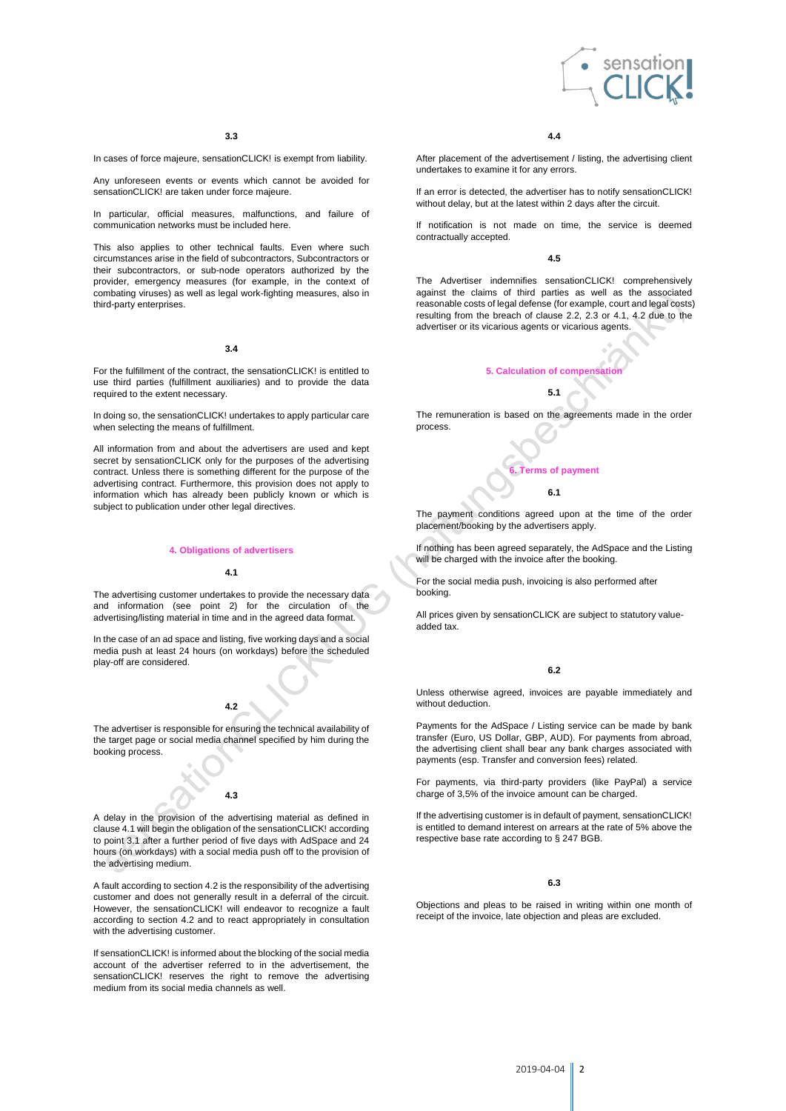

In cases of force majeure, sensationCLICK! is exempt from liability.

Any unforeseen events or events which cannot be avoided for sensationCLICK! are taken under force majeure.

In particular, official measures, malfunctions, and failure of communication networks must be included here.

This also applies to other technical faults. Even where such circumstances arise in the field of subcontractors, Subcontractors or their subcontractors, or sub-node operators authorized by the provider, emergency measures (for example, in the context of combating viruses) as well as legal work-fighting measures, also in third-party enterprises.

### **3.4**

For the fulfillment of the contract, the sensationCLICK! is entitled to use third parties (fulfillment auxiliaries) and to provide the data required to the extent necessary.

In doing so, the sensationCLICK! undertakes to apply particular care when selecting the means of fulfillment.

All information from and about the advertisers are used and kept secret by sensationCLICK only for the purposes of the advertising contract. Unless there is something different for the purpose of the advertising contract. Furthermore, this provision does not apply to information which has already been publicly known or which is subject to publication under other legal directives.

## **4. Obligations of advertisers**

### **4.1**

The advertising customer undertakes to provide the necessary data and information (see point 2) for the circulation of the advertising/listing material in time and in the agreed data format.

In the case of an ad space and listing, five working days and a social media push at least 24 hours (on workdays) before the scheduled play-off are considered.

# **4.2**

The advertiser is responsible for ensuring the technical availability of the target page or social media channel specified by him during the booking process.

# **4.3**

A delay in the provision of the advertising material as defined in clause 4.1 will begin the obligation of the sensationCLICK! according to point 3.1 after a further period of five days with AdSpace and 24 hours (on workdays) with a social media push off to the provision of the advertising medium.

A fault according to section 4.2 is the responsibility of the advertising customer and does not generally result in a deferral of the circuit. However, the sensationCLICK! will endeavor to recognize a fault according to section 4.2 and to react appropriately in consultation with the advertising customer.

If sensationCLICK! is informed about the blocking of the social media account of the advertiser referred to in the advertisement, the sensationCLICK! reserves the right to remove the advertising medium from its social media channels as well.

### **4.4**

After placement of the advertisement / listing, the advertising client undertakes to examine it for any errors.

If an error is detected, the advertiser has to notify sensationCLICK! without delay, but at the latest within 2 days after the circuit.

If notification is not made on time, the service is deemed contractually accepted.

### **4.5**

The Advertiser indemnifies sensationCLICK! comprehensively against the claims of third parties as well as the associated reasonable costs of legal defense (for example, court and legal costs) resulting from the breach of clause 2.2, 2.3 or 4.1, 4.2 due to the advertiser or its vicarious agents or vicarious agents.



The remuneration is based on the agreements made in the order process.

# **6. Terms of payment**

### **6.1**

The payment conditions agreed upon at the time of the order placement/booking by the advertisers apply.

If nothing has been agreed separately, the AdSpace and the Listing will be charged with the invoice after the booking.

For the social media push, invoicing is also performed after booking.

All prices given by sensationCLICK are subject to statutory valueadded tax.

# **6.2**

Unless otherwise agreed, invoices are payable immediately and without deduction.

Payments for the AdSpace / Listing service can be made by bank transfer (Euro, US Dollar, GBP, AUD). For payments from abroad, the advertising client shall bear any bank charges associated with payments (esp. Transfer and conversion fees) related.

For payments, via third-party providers (like PayPal) a service charge of 3,5% of the invoice amount can be charged.

If the advertising customer is in default of payment, sensationCLICK! is entitled to demand interest on arrears at the rate of 5% above the respective base rate according to § 247 BGB.

### **6.3**

Objections and pleas to be raised in writing within one month of receipt of the invoice, late objection and pleas are excluded.